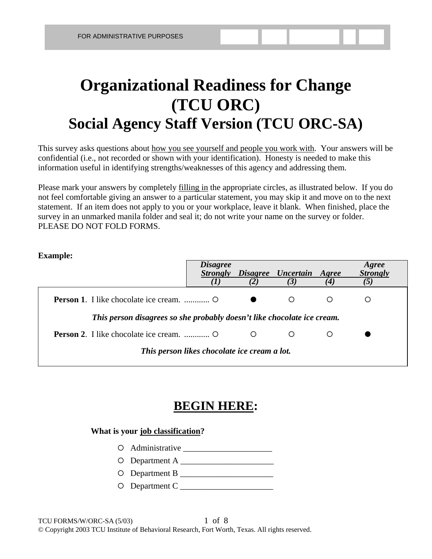# **Organizational Readiness for Change (TCU ORC) Social Agency Staff Version (TCU ORC-SA)**

This survey asks questions about how you see yourself and people you work with. Your answers will be confidential (i.e., not recorded or shown with your identification). Honesty is needed to make this information useful in identifying strengths/weaknesses of this agency and addressing them.

Please mark your answers by completely filling in the appropriate circles, as illustrated below. If you do not feel comfortable giving an answer to a particular statement, you may skip it and move on to the next statement. If an item does not apply to you or your workplace, leave it blank. When finished, place the survey in an unmarked manila folder and seal it; do not write your name on the survey or folder. PLEASE DO NOT FOLD FORMS.

### **Example:**

|                                                                         | <b>Disagree</b>                              |   | Strongly Disagree Uncertain Agree |   | Agree<br><b>Strongly</b> |
|-------------------------------------------------------------------------|----------------------------------------------|---|-----------------------------------|---|--------------------------|
|                                                                         |                                              |   |                                   |   |                          |
|                                                                         |                                              |   | $\circ$                           | ∩ | ()                       |
| This person disagrees so she probably doesn't like chocolate ice cream. |                                              |   |                                   |   |                          |
|                                                                         |                                              | O |                                   |   |                          |
|                                                                         | This person likes chocolate ice cream a lot. |   |                                   |   |                          |

## **BEGIN HERE:**

### **What is your job classification?**

- { Administrative \_\_\_\_\_\_\_\_\_\_\_\_\_\_\_\_\_\_\_\_\_
- { Department A \_\_\_\_\_\_\_\_\_\_\_\_\_\_\_\_\_\_\_\_\_\_
- { Department B \_\_\_\_\_\_\_\_\_\_\_\_\_\_\_\_\_\_\_\_\_\_
- { Department C \_\_\_\_\_\_\_\_\_\_\_\_\_\_\_\_\_\_\_\_\_\_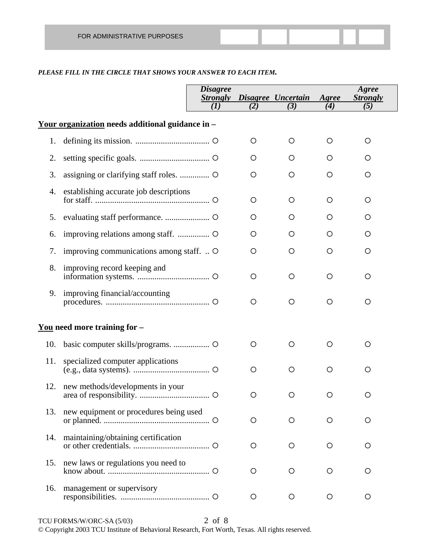#### *PLEASE FILL IN THE CIRCLE THAT SHOWS YOUR ANSWER TO EACH ITEM.*

|     |                                                         | <i><b>Disagree</b></i><br><b>Strongly</b> |         | Disagree Uncertain | Agree   | Agree<br><b>Strongly</b> |
|-----|---------------------------------------------------------|-------------------------------------------|---------|--------------------|---------|--------------------------|
|     |                                                         | (I)                                       | (2)     | (3)                | (4)     | (5)                      |
|     | <u>Your organization</u> needs additional guidance in - |                                           |         |                    |         |                          |
| 1.  |                                                         |                                           | O       | $\circ$            | $\circ$ | $\circ$                  |
| 2.  |                                                         |                                           | O       | O                  | O       | O                        |
| 3.  |                                                         |                                           | O       | O                  | $\circ$ | O                        |
| 4.  | establishing accurate job descriptions                  |                                           | O       | $\circ$            | $\circ$ | $\circ$                  |
| 5.  |                                                         |                                           | O       | O                  | O       | O                        |
| 6.  |                                                         |                                           | O       | O                  | O       | O                        |
| 7.  | improving communications among staff.  O                |                                           | O       | O                  | $\circ$ | O                        |
| 8.  | improving record keeping and                            |                                           | $\circ$ | $\circ$            | $\circ$ | O                        |
| 9.  | improving financial/accounting                          |                                           | $\circ$ | $\circ$            | $\circ$ | $\circ$                  |
|     | <u>You</u> need more training for $-$                   |                                           |         |                    |         |                          |
| 10. |                                                         |                                           | O       | O                  | $\circ$ | O                        |
| 11. | specialized computer applications                       |                                           | $\circ$ | $\circ$            | $\circ$ | O                        |
| 12. | new methods/developments in your                        |                                           | $\circ$ | O                  | $\circ$ | O                        |
| 13. | new equipment or procedures being used                  |                                           | O       | $\circ$            | $\circ$ | O                        |
| 14. | maintaining/obtaining certification                     |                                           | O       | $\circ$            | O       | O                        |
| 15. | new laws or regulations you need to                     |                                           | O       | O                  | O       | O                        |
| 16. | management or supervisory                               |                                           | O       | O                  | O       | O                        |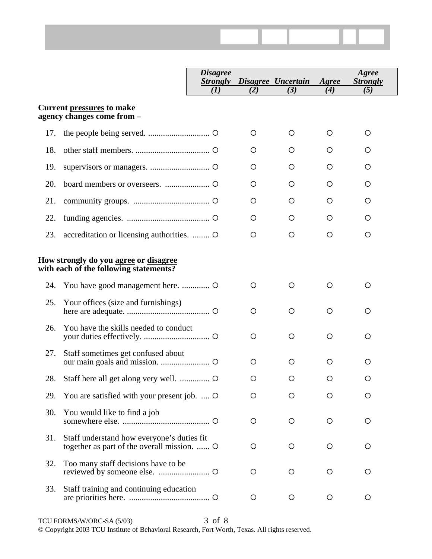|     |                                                                                           | <i><b>Disagree</b></i><br><b>Strongly</b><br>(I) | (2)     | Disagree Uncertain<br>(3) | Agree<br>(4) | Agree<br><b>Strongly</b><br>(5) |
|-----|-------------------------------------------------------------------------------------------|--------------------------------------------------|---------|---------------------------|--------------|---------------------------------|
|     |                                                                                           |                                                  |         |                           |              |                                 |
|     | <b>Current pressures to make</b><br>agency changes come from -                            |                                                  |         |                           |              |                                 |
| 17. |                                                                                           |                                                  | O       | O                         | O            | $\circ$                         |
| 18. |                                                                                           |                                                  | O       | O                         | O            | O                               |
| 19. |                                                                                           |                                                  | O       | O                         | O            | O                               |
| 20. |                                                                                           |                                                  | O       | O                         | O            | O                               |
| 21. |                                                                                           |                                                  | O       | O                         | O            | O                               |
| 22. |                                                                                           |                                                  | O       | O                         | O            | O                               |
| 23. | accreditation or licensing authorities.  O                                                |                                                  | O       | O                         | O            | $\circ$                         |
|     | How strongly do you agree or disagree<br>with each of the following statements?           |                                                  |         |                           |              |                                 |
| 24. |                                                                                           |                                                  | O       | O                         | $\circ$      | $\circ$                         |
| 25. | Your offices (size and furnishings)                                                       |                                                  | O       | O                         | O            | $\circ$                         |
| 26. | You have the skills needed to conduct                                                     |                                                  | O       | $\circ$                   | $\circ$      | O                               |
| 27. | Staff sometimes get confused about                                                        |                                                  | $\circ$ | O                         | O            | $\circ$                         |
| 28. |                                                                                           |                                                  | O       | O                         | O            | $\circ$                         |
| 29. | You are satisfied with your present job.  O                                               |                                                  | O       | O                         | O            | O                               |
| 30. | You would like to find a job                                                              |                                                  | O       | $\circ$                   | O            | O                               |
| 31. | Staff understand how everyone's duties fit<br>together as part of the overall mission.  O |                                                  | O       | O                         | O            | $\circ$                         |
| 32. | Too many staff decisions have to be                                                       |                                                  | O       | O                         | O            | O                               |
| 33. | Staff training and continuing education                                                   |                                                  | O       | $\circ$                   | O            | O                               |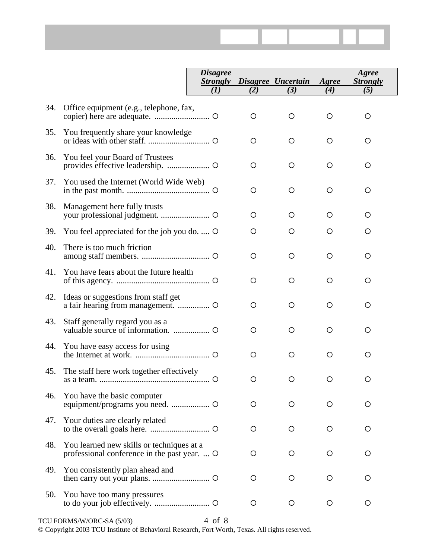|     |                                                                                           | <b>Disagree</b><br><b>Strongly</b><br>(1) | (2)     | Disagree Uncertain<br>(3) | Agree<br>(4) | Agree<br><b>Strongly</b><br>(5) |
|-----|-------------------------------------------------------------------------------------------|-------------------------------------------|---------|---------------------------|--------------|---------------------------------|
| 34. | Office equipment (e.g., telephone, fax,                                                   |                                           | O       | O                         | O            | O                               |
| 35. | You frequently share your knowledge                                                       |                                           | O       | O                         | O            | O                               |
| 36. | You feel your Board of Trustees                                                           |                                           | $\circ$ | O                         | $\circ$      | $\circ$                         |
| 37. | You used the Internet (World Wide Web)                                                    |                                           | O       | $\circ$                   | $\circ$      | O                               |
| 38. | Management here fully trusts                                                              |                                           | O       | O                         | O            | $\circ$                         |
| 39. | You feel appreciated for the job you do.  O                                               |                                           | $\circ$ | O                         | O            | O                               |
| 40. | There is too much friction                                                                |                                           | O       | $\circ$                   | $\circ$      | O                               |
| 41. | You have fears about the future health                                                    |                                           | O       | O                         | $\circ$      | $\circ$                         |
| 42. | Ideas or suggestions from staff get                                                       |                                           | $\circ$ | O                         | $\circ$      | $\circ$                         |
| 43. | Staff generally regard you as a                                                           |                                           | $\circ$ | $\circ$                   | $\circ$      | $\circ$                         |
| 44. | You have easy access for using                                                            |                                           | O       | O                         | O            | O                               |
| 45. | The staff here work together effectively                                                  |                                           | O       | O                         | O            | O                               |
| 46. | You have the basic computer                                                               |                                           | $\circ$ | O                         | O            | O                               |
| 47. | Your duties are clearly related                                                           |                                           | O       | O                         | O            | O                               |
| 48. | You learned new skills or techniques at a<br>professional conference in the past year.  O |                                           | O       | O                         | O            | $\circ$                         |
| 49. | You consistently plan ahead and                                                           |                                           | O       | O                         | O            | O                               |
| 50. | You have too many pressures                                                               |                                           | O       | O                         | O            | O                               |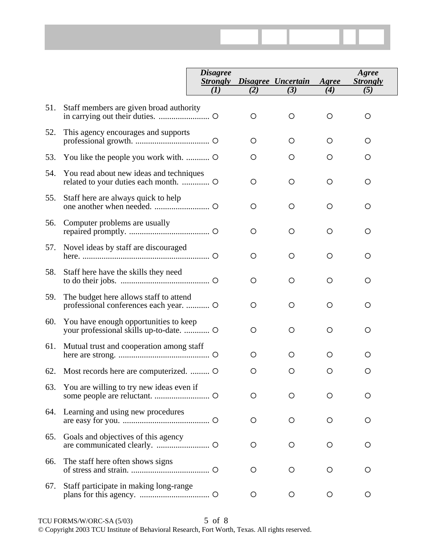|     |                                                                                  | <b>Disagree</b>        |         |                           |              | Agree                  |
|-----|----------------------------------------------------------------------------------|------------------------|---------|---------------------------|--------------|------------------------|
|     |                                                                                  | <b>Strongly</b><br>(1) | (2)     | Disagree Uncertain<br>(3) | Agree<br>(4) | <b>Strongly</b><br>(5) |
|     |                                                                                  |                        |         |                           |              |                        |
| 51. | Staff members are given broad authority                                          |                        | O       | O                         | $\circ$      | O                      |
| 52. | This agency encourages and supports                                              |                        | O       | O                         | $\circ$      | $\circ$                |
| 53. | You like the people you work with.                                               |                        | O       | O                         | $\circ$      | $\circ$                |
| 54. | You read about new ideas and techniques                                          |                        | O       | O                         | $\circ$      | O                      |
| 55. | Staff here are always quick to help                                              |                        | O       | O                         | O            | O                      |
| 56. | Computer problems are usually                                                    |                        | O       | O                         | O            | O                      |
| 57. | Novel ideas by staff are discouraged                                             |                        | O       | O                         | O            | O                      |
| 58. | Staff here have the skills they need                                             |                        | O       | O                         | O            | O                      |
| 59. | The budget here allows staff to attend<br>professional conferences each year.  O |                        | O       | $\circ$                   | $\circ$      | $\circ$                |
| 60. | You have enough opportunities to keep                                            |                        | $\circ$ | $\circ$                   | $\circ$      | O                      |
| 61. | Mutual trust and cooperation among staff                                         |                        | O       | O                         | $\circ$      | O                      |
| 62. | Most records here are computerized.                                              |                        | O       | O                         | O            | O                      |
| 63. | You are willing to try new ideas even if                                         |                        | O       | O                         | O            | O                      |
|     | 64. Learning and using new procedures                                            |                        | O       | O                         | O            | O                      |
| 65. | Goals and objectives of this agency                                              |                        | O       | O                         | O            | O                      |
| 66. | The staff here often shows signs                                                 |                        | O       | O                         | O            | O                      |
| 67. | Staff participate in making long-range                                           |                        | O       | O                         | O            | O                      |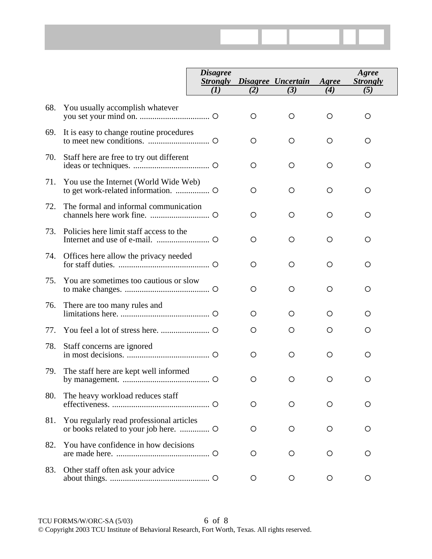|                                             | <i>Disagree</i> | <b>Strongly Disagree Uncertain</b><br>(3) | Agree<br>$\boldsymbol{4}$ | <b>Agree</b><br><b>Strongly</b> |  |
|---------------------------------------------|-----------------|-------------------------------------------|---------------------------|---------------------------------|--|
|                                             |                 |                                           |                           |                                 |  |
| 68. You usually accomplish whatever         |                 |                                           |                           |                                 |  |
| 69. It is easy to change routine procedures |                 |                                           |                           |                                 |  |

| 69. | It is easy to change routine procedures  | O        | O       | O       | O |
|-----|------------------------------------------|----------|---------|---------|---|
| 70. | Staff here are free to try out different | $\circ$  | O       | O       | O |
| 71. | You use the Internet (World Wide Web)    | $\Omega$ | $\circ$ | $\circ$ | ◯ |
| 72. | The formal and informal communication    | $\circ$  | O       | O       | O |
| 73. | Policies here limit staff access to the  | O        | O       | O       | O |
| 74. | Offices here allow the privacy needed    | $\circ$  | O       | O       | O |
| 75. | You are sometimes too cautious or slow   | ◯        | O       | O       | ◯ |
| 76. | There are too many rules and             | O        | O       | O       | O |
| 77. |                                          | O        | O       | O       | O |
| 78. | Staff concerns are ignored               | O        | O       | O       | O |
| 79. | The staff here are kept well informed    | O        | $\circ$ | $\circ$ | O |
| 80. | The heavy workload reduces staff         | $\Omega$ | O       | ◯       | ◯ |
| 81. | You regularly read professional articles | O        | O       | O       | O |
| 82. | You have confidence in how decisions     | O        | O       | O       | O |
| 83. | Other staff often ask your advice        | O        | O       | O       | O |
|     |                                          |          |         |         |   |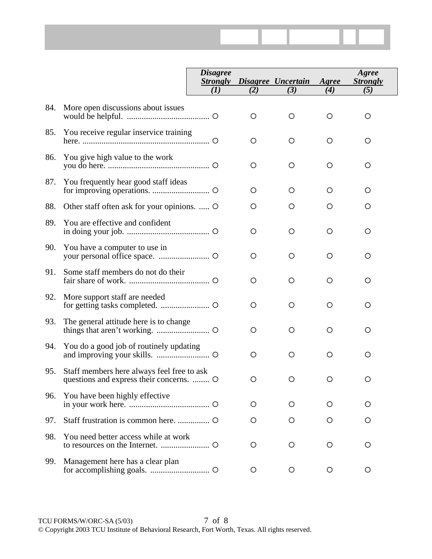|     |                                                                                        | <i><b>Disagree</b></i><br><b>Strongly</b> |         | Disagree Uncertain | Agree   | Agree<br><b>Strongly</b> |
|-----|----------------------------------------------------------------------------------------|-------------------------------------------|---------|--------------------|---------|--------------------------|
|     |                                                                                        | $\mathcal{L}(I)$                          | (2)     | (3)                | (4)     | (5)                      |
| 84. | More open discussions about issues                                                     |                                           | $\circ$ | $\circ$            | $\circ$ | $\circ$                  |
| 85. | You receive regular inservice training                                                 |                                           | $\circ$ | O                  | O       | $\circ$                  |
| 86. | You give high value to the work                                                        |                                           | $\circ$ | $\circ$            | $\circ$ | $\circ$                  |
| 87. | You frequently hear good staff ideas                                                   |                                           | O       | O                  | O       | O                        |
| 88. | Other staff often ask for your opinions.  O                                            |                                           | $\circ$ | $\circ$            | $\circ$ | $\circ$                  |
| 89. | You are effective and confident                                                        |                                           | O       | $\circ$            | $\circ$ | $\circ$                  |
| 90. | You have a computer to use in                                                          |                                           | $\circ$ | $\circ$            | $\circ$ | $\circ$                  |
| 91. | Some staff members do not do their                                                     |                                           | O       | O                  | O       | O                        |
| 92. | More support staff are needed                                                          |                                           | O       | $\circ$            | $\circ$ | O                        |
| 93. | The general attitude here is to change                                                 |                                           | O       | $\circ$            | $\circ$ | $\circ$                  |
| 94. | You do a good job of routinely updating                                                |                                           | $\circ$ | $\circ$            | $\circ$ | $\circ$                  |
| 95. | Staff members here always feel free to ask<br>questions and express their concerns.  O |                                           | $\circ$ | $\circ$            | $\circ$ | O                        |
| 96. | You have been highly effective                                                         |                                           | O       | O                  | O       | O                        |
| 97. |                                                                                        |                                           | O       | O                  | O       | O                        |
| 98. | You need better access while at work                                                   |                                           | O       | O                  | O       | O                        |
| 99. | Management here has a clear plan                                                       |                                           | O       | O                  | O       | O                        |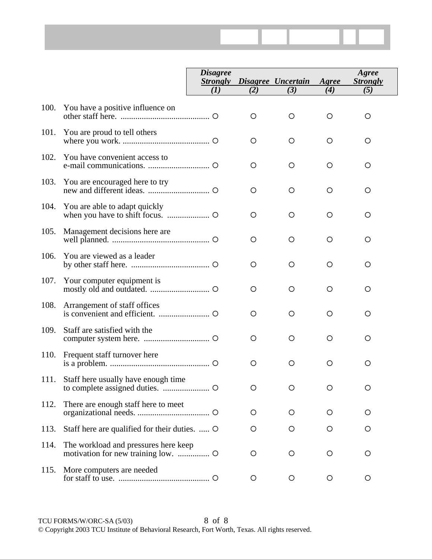|      |                                  | <b>Disagree</b><br><b>Strongly</b><br>(I) | (2)     | Disagree Uncertain<br>(3) | Agree<br>(4) | Agree<br><b>Strongly</b><br>(5) |
|------|----------------------------------|-------------------------------------------|---------|---------------------------|--------------|---------------------------------|
| 100. | You have a positive influence on |                                           | $\circ$ | O                         | ∩            | O                               |
| 101. | You are proud to tell others     |                                           | O       | $\circ$                   | O            | O                               |
| 102. | You have convenient access to    |                                           | O       | $\circ$                   | $\bigcirc$   | O                               |
| 103. | You are encouraged here to try   |                                           | O       | O                         | O            | O                               |
| 104. | You are able to adapt quickly    |                                           | O       | $\circ$                   | O            | O                               |
| 105. | Management decisions here are    |                                           | O       | $\circ$                   | O            | O                               |
| 106. | You are viewed as a leader       |                                           | $\circ$ | $\circ$                   | O            | O                               |
| 107. | Your computer equipment is       |                                           | $\circ$ | $\circ$                   | $\bigcirc$   | ◯                               |
| 108. | Arrangement of staff offices     |                                           | $\circ$ | $\circ$                   | O            | O                               |
| 109. | Staff are satisfied with the     |                                           | O       | O                         | O            | O                               |

is a problem. ............................................... { { { { {

to complete assigned duties.  $\frac{1}{2}$   $\frac{1}{2}$   $\frac{1}{2}$   $\frac{1}{2}$   $\frac{1}{2}$   $\frac{1}{2}$   $\frac{1}{2}$   $\frac{1}{2}$   $\frac{1}{2}$   $\frac{1}{2}$   $\frac{1}{2}$   $\frac{1}{2}$   $\frac{1}{2}$   $\frac{1}{2}$   $\frac{1}{2}$   $\frac{1}{2}$   $\frac{1}{2}$   $\frac{1}{2}$   $\frac{1}{2}$   $\$ 

organizational needs. .................................. { { { { { 113. Staff here are qualified for their duties. ..... O O O O O O 114. The workload and pressures here keep motivation for new training low. ............... { { { { { 115. More computers are needed for staff to use. ........................................... { { { { {

110. Frequent staff turnover here

111. Staff here usually have enough time

112. There are enough staff here to meet